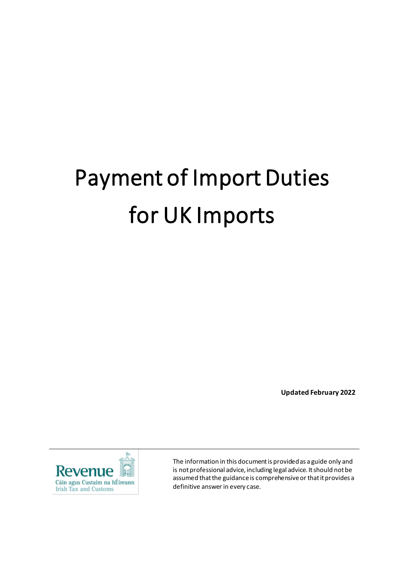# Payment of Import Duties for UK Imports

**Updated February 2022**



The information in this document is provided as a guide only and is not professional advice, including legal advice. It should not be assumed that the guidance is comprehensive or that it provides a definitive answer in every case.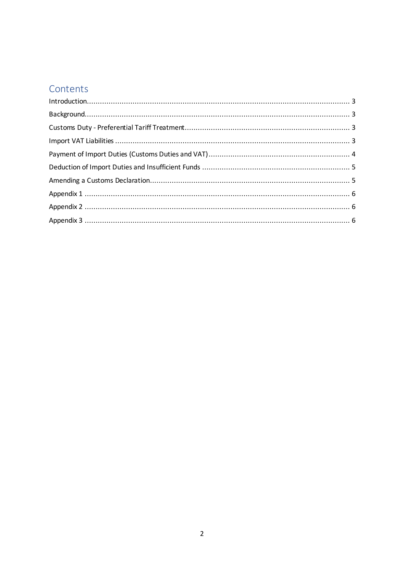# Contents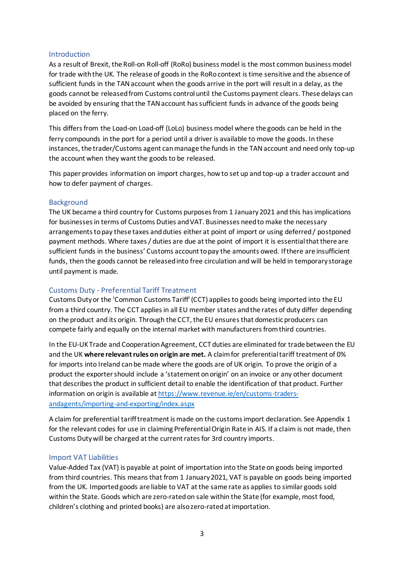#### <span id="page-2-0"></span>Introduction

As a result of Brexit, the Roll-on Roll-off (RoRo) business model is the most common business model for trade with the UK. The release of goods in the RoRo context is time sensitive and the absence of sufficient funds in the TAN account when the goods arrive in the port will result in a delay, as the goods cannot be released from Customs control until the Customs payment clears. These delays can be avoided by ensuring that the TAN account has sufficient funds in advance of the goods being placed on the ferry.

This differs from the Load-on Load-off (LoLo) business model where the goods can be held in the ferry compounds in the port for a period until a driver is available to move the goods. In these instances, the trader/Customs agent can manage the funds in the TAN account and need only top-up the account when they want the goods to be released.

This paper provides information on import charges, how to set up and top-up a trader account and how to defer payment of charges.

#### <span id="page-2-1"></span>Background

The UK became a third country for Customs purposes from 1 January 2021 and this has implications for businesses in terms of Customs Duties and VAT. Businesses need to make the necessary arrangements to pay these taxes and duties either at point of import or using deferred / postponed payment methods. Where taxes / duties are due at the point of import it is essential that there are sufficient funds in the business' Customs account to pay the amounts owed. If there are insufficient funds, then the goods cannot be released into free circulation and will be held in temporary storage until payment is made.

#### <span id="page-2-2"></span>Customs Duty - Preferential Tariff Treatment

Customs Duty or the 'Common Customs Tariff' (CCT) applies to goods being imported into the EU from a third country. The CCT applies in all EU member states and the rates of duty differ depending on the product and its origin. Through the CCT, the EU ensures that domestic producers can compete fairly and equally on the internal market with manufacturers from third countries.

In the EU-UK Trade and Cooperation Agreement, CCT duties are eliminated for trade between the EU and the UK **where relevant rules on origin are met.** A claim for preferential tariff treatment of 0% for imports into Ireland can be made where the goods are of UK origin. To prove the origin of a product the exporter should include a 'statement on origin' on an invoice or any other document that describes the product in sufficient detail to enable the identification of that product. Further information on origin is available a[t https://www.revenue.ie/en/customs-traders](https://www.revenue.ie/en/customs-traders-andagents/importing-and-exporting/index.aspx)[andagents/importing-and-exporting/index.aspx](https://www.revenue.ie/en/customs-traders-andagents/importing-and-exporting/index.aspx)

A claim for preferential tariff treatment is made on the customs import declaration. See Appendix 1 for the relevant codes for use in claiming Preferential Origin Rate in AIS. If a claim is not made, then Customs Duty will be charged at the current rates for 3rd country imports.

#### <span id="page-2-3"></span>Import VAT Liabilities

Value-Added Tax (VAT) is payable at point of importation into the State on goods being imported from third countries. This means that from 1 January 2021, VAT is payable on goods being imported from the UK. Imported goods are liable to VAT at the same rate as applies to similar goods sold within the State. Goods which are zero-rated on sale within the State (for example, most food, children's clothing and printed books) are also zero-rated at importation.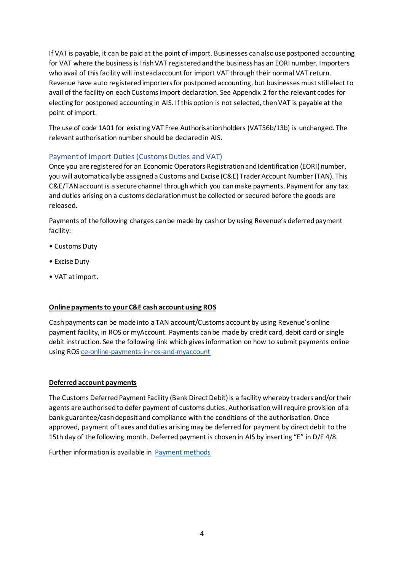If VAT is payable, it can be paid at the point of import. Businesses can also use postponed accounting for VAT where the business is Irish VAT registered and the business has an EORI number. Importers who avail of this facility will instead account for import VAT through their normal VAT return. Revenue have auto registered importers for postponed accounting, but businesses must still elect to avail of the facility on each Customs import declaration. See Appendix 2 for the relevant codes for electing for postponed accounting in AIS. If this option is not selected, then VAT is payable at the point of import.

The use of code 1A01 for existing VAT Free Authorisation holders (VAT56b/13b) is unchanged. The relevant authorisation number should be declared in AIS.

# <span id="page-3-0"></span>Payment of Import Duties (Customs Duties and VAT)

Once you are registered for an Economic Operators Registration and Identification (EORI) number, you will automaticallybe assigned a Customs and Excise (C&E) Trader Account Number (TAN). This C&E/TAN account is a secure channel through which you can make payments. Payment for any tax and duties arising on a customs declaration must be collected or secured before the goods are released.

Payments of the following charges can be made by cash or by using Revenue's deferred payment facility:

- Customs Duty
- Excise Duty
- VAT at import.

#### **Online payments to your C&E cash account using ROS**

Cash payments can be made into a TAN account/Customs account by using Revenue's online payment facility, in ROS or myAccount. Payments can be made by credit card, debit card or single debit instruction. See the following link which gives information on how to submit payments online using ROS [ce-online-payments-in-ros-and-myaccount](https://www.revenue.ie/en/tax-professionals/tdm/customs/aep/ce-online-payments-in-ros-and-myaccount.pdf)

#### **Deferred account payments**

The Customs Deferred Payment Facility (Bank Direct Debit) is a facility whereby traders and/or their agents are authorised to defer payment of customs duties. Authorisation will require provision of a bank guarantee/cash deposit and compliance with the conditions of the authorisation. Once approved, payment of taxes and duties arising may be deferred for payment by direct debit to the 15th day of the following month. Deferred payment is chosen in AIS by inserting "E" in D/E 4/8.

Further information is available in [Payment methods](https://www.revenue.ie/en/customs-traders-and-agents/customs-electronic-systems/aep/payment-methods/index.aspx)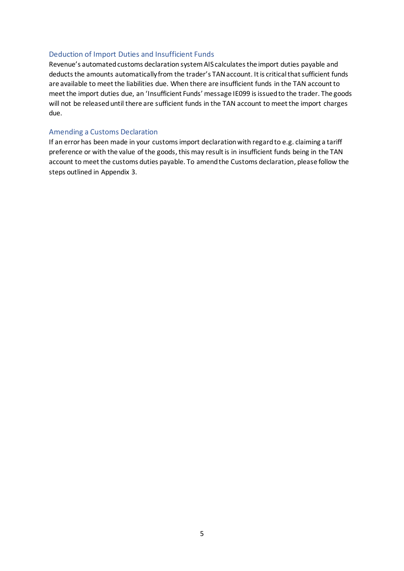#### <span id="page-4-0"></span>Deduction of Import Duties and Insufficient Funds

Revenue's automated customs declaration system AIS calculates the import duties payable and deducts the amounts automatically from the trader's TAN account. It is critical that sufficient funds are available to meet the liabilities due. When there are insufficient funds in the TAN account to meet the import duties due, an 'Insufficient Funds' message IE099 is issued to the trader. The goods will not be released until there are sufficient funds in the TAN account to meet the import charges due.

#### <span id="page-4-1"></span>Amending a Customs Declaration

If an error has been made in your customs import declaration with regard to e.g. claiming a tariff preference or with the value of the goods, this may result is in insufficient funds being in the TAN account to meet the customs duties payable. To amend the Customs declaration, please follow the steps outlined in Appendix 3.